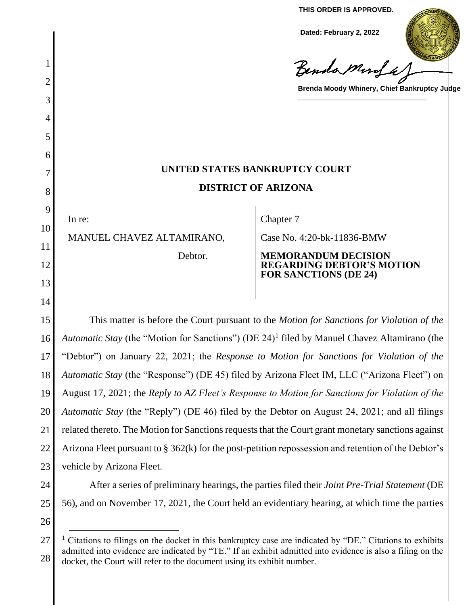**THIS ORDER IS APPROVED.**

**Dated: February 2, 2022**

Benda Murfa

**Brenda Moody Whinery, Chief Bankruptcy Judge**

**\_\_\_\_\_\_\_\_\_\_\_\_\_\_\_\_\_\_\_\_\_\_\_\_\_\_\_\_\_\_\_\_\_**

# **UNITED STATES BANKRUPTCY COURT DISTRICT OF ARIZONA**

In re:

1

2

3

4

5

6

7

8

9

10

11

12

13

14

MANUEL CHAVEZ ALTAMIRANO,

Debtor.

Chapter 7

Case No. 4:20-bk-11836-BMW

#### **MEMORANDUM DECISION REGARDING DEBTOR'S MOTION FOR SANCTIONS (DE 24)**

15 16 17 18 19 20 21 22 23 This matter is before the Court pursuant to the *Motion for Sanctions for Violation of the*  Automatic Stay (the "Motion for Sanctions") (DE 24)<sup>1</sup> filed by Manuel Chavez Altamirano (the "Debtor") on January 22, 2021; the *Response to Motion for Sanctions for Violation of the Automatic Stay* (the "Response") (DE 45) filed by Arizona Fleet IM, LLC ("Arizona Fleet") on August 17, 2021; the *Reply to AZ Fleet's Response to Motion for Sanctions for Violation of the Automatic Stay* (the "Reply") (DE 46) filed by the Debtor on August 24, 2021; and all filings related thereto. The Motion for Sanctions requests that the Court grant monetary sanctions against Arizona Fleet pursuant to § 362(k) for the post-petition repossession and retention of the Debtor's vehicle by Arizona Fleet.

24 25

After a series of preliminary hearings, the parties filed their *Joint Pre-Trial Statement* (DE 56), and on November 17, 2021, the Court held an evidentiary hearing, at which time the parties

<sup>27</sup> 28 <sup>1</sup> Citations to filings on the docket in this bankruptcy case are indicated by "DE." Citations to exhibits admitted into evidence are indicated by "TE." If an exhibit admitted into evidence is also a filing on the docket, the Court will refer to the document using its exhibit number.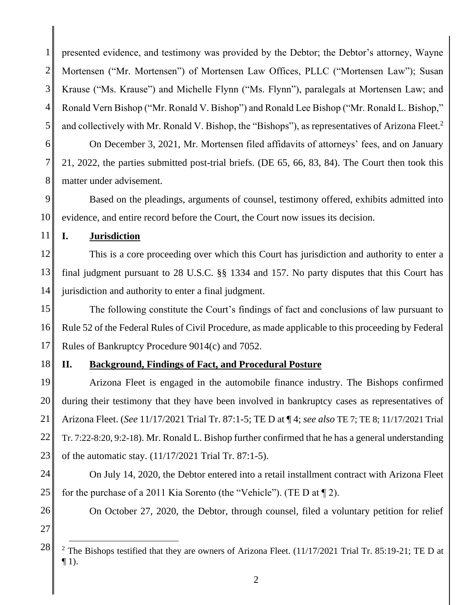1 2 3 4 5 presented evidence, and testimony was provided by the Debtor; the Debtor's attorney, Wayne Mortensen ("Mr. Mortensen") of Mortensen Law Offices, PLLC ("Mortensen Law"); Susan Krause ("Ms. Krause") and Michelle Flynn ("Ms. Flynn"), paralegals at Mortensen Law; and Ronald Vern Bishop ("Mr. Ronald V. Bishop") and Ronald Lee Bishop ("Mr. Ronald L. Bishop," and collectively with Mr. Ronald V. Bishop, the "Bishops"), as representatives of Arizona Fleet.<sup>2</sup>

6 7 8 On December 3, 2021, Mr. Mortensen filed affidavits of attorneys' fees, and on January 21, 2022, the parties submitted post-trial briefs. (DE 65, 66, 83, 84). The Court then took this matter under advisement.

9 10 Based on the pleadings, arguments of counsel, testimony offered, exhibits admitted into evidence, and entire record before the Court, the Court now issues its decision.

11 **I. Jurisdiction**

12 13 14 This is a core proceeding over which this Court has jurisdiction and authority to enter a final judgment pursuant to 28 U.S.C. §§ 1334 and 157. No party disputes that this Court has jurisdiction and authority to enter a final judgment.

15 16 17 The following constitute the Court's findings of fact and conclusions of law pursuant to Rule 52 of the Federal Rules of Civil Procedure, as made applicable to this proceeding by Federal Rules of Bankruptcy Procedure 9014(c) and 7052.

#### 18 **II. Background, Findings of Fact, and Procedural Posture**

19 20 21 22 23 Arizona Fleet is engaged in the automobile finance industry. The Bishops confirmed during their testimony that they have been involved in bankruptcy cases as representatives of Arizona Fleet. (*See* 11/17/2021 Trial Tr. 87:1-5; TE D at ¶ 4; *see also* TE 7; TE 8; 11/17/2021 Trial Tr. 7:22-8:20, 9:2-18). Mr. Ronald L. Bishop further confirmed that he has a general understanding of the automatic stay. (11/17/2021 Trial Tr. 87:1-5).

- 24 25 On July 14, 2020, the Debtor entered into a retail installment contract with Arizona Fleet for the purchase of a 2011 Kia Sorento (the "Vehicle"). (TE D at ¶ 2).
- 26

On October 27, 2020, the Debtor, through counsel, filed a voluntary petition for relief

<sup>28</sup> <sup>2</sup> The Bishops testified that they are owners of Arizona Fleet.  $(11/17/2021$  Trial Tr. 85:19-21; TE D at  $\P$  1).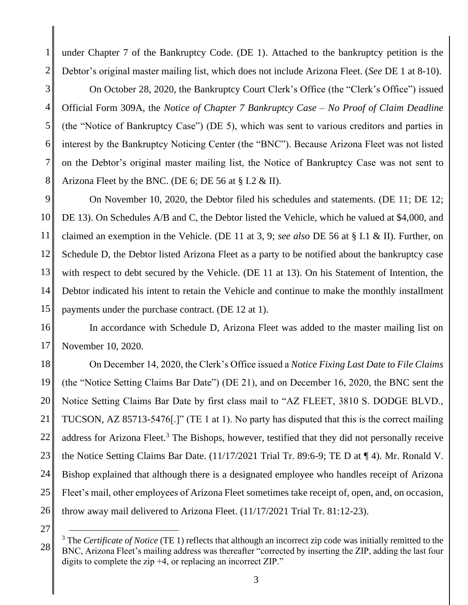1 2 under Chapter 7 of the Bankruptcy Code. (DE 1). Attached to the bankruptcy petition is the Debtor's original master mailing list, which does not include Arizona Fleet. (*See* DE 1 at 8-10).

3 4 5 6 7 8 On October 28, 2020, the Bankruptcy Court Clerk's Office (the "Clerk's Office") issued Official Form 309A, the *Notice of Chapter 7 Bankruptcy Case – No Proof of Claim Deadline*  (the "Notice of Bankruptcy Case") (DE 5), which was sent to various creditors and parties in interest by the Bankruptcy Noticing Center (the "BNC"). Because Arizona Fleet was not listed on the Debtor's original master mailing list, the Notice of Bankruptcy Case was not sent to Arizona Fleet by the BNC. (DE 6; DE 56 at § I.2 & II).

9 10 11 12 13 14 15 On November 10, 2020, the Debtor filed his schedules and statements. (DE 11; DE 12; DE 13). On Schedules A/B and C, the Debtor listed the Vehicle, which he valued at \$4,000, and claimed an exemption in the Vehicle. (DE 11 at 3, 9; *see also* DE 56 at § I.1 & II). Further, on Schedule D, the Debtor listed Arizona Fleet as a party to be notified about the bankruptcy case with respect to debt secured by the Vehicle. (DE 11 at 13). On his Statement of Intention, the Debtor indicated his intent to retain the Vehicle and continue to make the monthly installment payments under the purchase contract. (DE 12 at 1).

16 17 In accordance with Schedule D, Arizona Fleet was added to the master mailing list on November 10, 2020.

18 19 20 21 22 23 24 25 26 On December 14, 2020, the Clerk's Office issued a *Notice Fixing Last Date to File Claims*  (the "Notice Setting Claims Bar Date") (DE 21), and on December 16, 2020, the BNC sent the Notice Setting Claims Bar Date by first class mail to "AZ FLEET, 3810 S. DODGE BLVD., TUCSON, AZ 85713-5476[.]" (TE 1 at 1). No party has disputed that this is the correct mailing address for Arizona Fleet.<sup>3</sup> The Bishops, however, testified that they did not personally receive the Notice Setting Claims Bar Date. (11/17/2021 Trial Tr. 89:6-9; TE D at ¶ 4). Mr. Ronald V. Bishop explained that although there is a designated employee who handles receipt of Arizona Fleet's mail, other employees of Arizona Fleet sometimes take receipt of, open, and, on occasion, throw away mail delivered to Arizona Fleet. (11/17/2021 Trial Tr. 81:12-23).

<sup>28</sup> <sup>3</sup> The *Certificate of Notice* (TE 1) reflects that although an incorrect zip code was initially remitted to the BNC, Arizona Fleet's mailing address was thereafter "corrected by inserting the ZIP, adding the last four digits to complete the zip +4, or replacing an incorrect ZIP."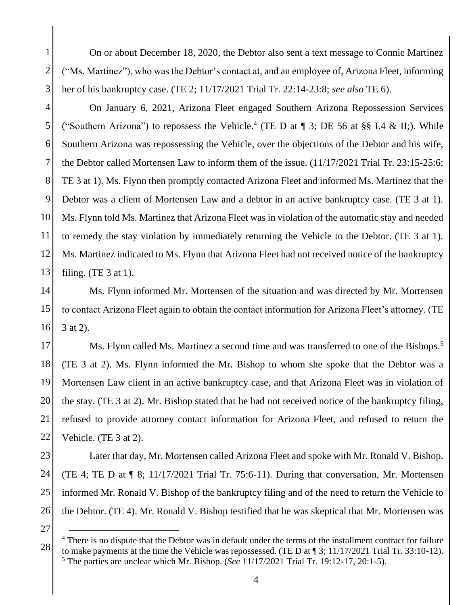1 2 3 On or about December 18, 2020, the Debtor also sent a text message to Connie Martinez ("Ms. Martinez"), who was the Debtor's contact at, and an employee of, Arizona Fleet, informing her of his bankruptcy case. (TE 2; 11/17/2021 Trial Tr. 22:14-23:8; *see also* TE 6).

4 5 6 7 8 9 10 11 12 13 On January 6, 2021, Arizona Fleet engaged Southern Arizona Repossession Services ("Southern Arizona") to repossess the Vehicle.<sup>4</sup> (TE D at  $\P$  3; DE 56 at §§ I.4 & II;). While Southern Arizona was repossessing the Vehicle, over the objections of the Debtor and his wife, the Debtor called Mortensen Law to inform them of the issue. (11/17/2021 Trial Tr. 23:15-25:6; TE 3 at 1). Ms. Flynn then promptly contacted Arizona Fleet and informed Ms. Martinez that the Debtor was a client of Mortensen Law and a debtor in an active bankruptcy case. (TE 3 at 1). Ms. Flynn told Ms. Martinez that Arizona Fleet was in violation of the automatic stay and needed to remedy the stay violation by immediately returning the Vehicle to the Debtor. (TE 3 at 1). Ms. Martinez indicated to Ms. Flynn that Arizona Fleet had not received notice of the bankruptcy filing. (TE 3 at 1).

14 15 16 Ms. Flynn informed Mr. Mortensen of the situation and was directed by Mr. Mortensen to contact Arizona Fleet again to obtain the contact information for Arizona Fleet's attorney. (TE 3 at 2).

17 18 19 20 21 22 Ms. Flynn called Ms. Martinez a second time and was transferred to one of the Bishops.<sup>5</sup> (TE 3 at 2). Ms. Flynn informed the Mr. Bishop to whom she spoke that the Debtor was a Mortensen Law client in an active bankruptcy case, and that Arizona Fleet was in violation of the stay. (TE 3 at 2). Mr. Bishop stated that he had not received notice of the bankruptcy filing, refused to provide attorney contact information for Arizona Fleet, and refused to return the Vehicle. (TE 3 at 2).

23 24 25 26 Later that day, Mr. Mortensen called Arizona Fleet and spoke with Mr. Ronald V. Bishop. (TE 4; TE D at ¶ 8; 11/17/2021 Trial Tr. 75:6-11). During that conversation, Mr. Mortensen informed Mr. Ronald V. Bishop of the bankruptcy filing and of the need to return the Vehicle to the Debtor. (TE 4). Mr. Ronald V. Bishop testified that he was skeptical that Mr. Mortensen was

<sup>28</sup> <sup>4</sup> There is no dispute that the Debtor was in default under the terms of the installment contract for failure to make payments at the time the Vehicle was repossessed. (TE D at ¶ 3; 11/17/2021 Trial Tr. 33:10-12). <sup>5</sup> The parties are unclear which Mr. Bishop. (*See* 11/17/2021 Trial Tr. 19:12-17, 20:1-5).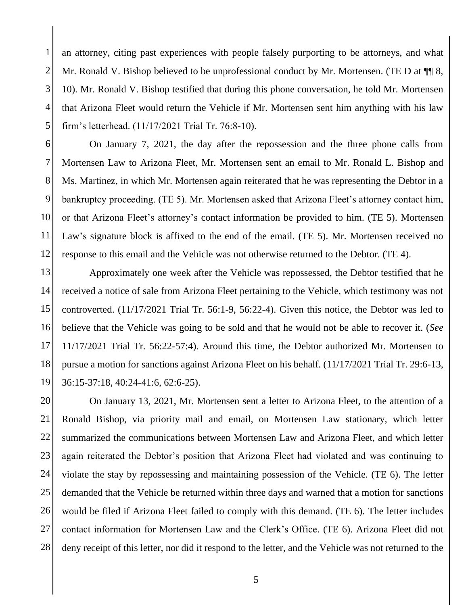1 2 3 4 5 an attorney, citing past experiences with people falsely purporting to be attorneys, and what Mr. Ronald V. Bishop believed to be unprofessional conduct by Mr. Mortensen. (TE D at  $\P$  8, 10). Mr. Ronald V. Bishop testified that during this phone conversation, he told Mr. Mortensen that Arizona Fleet would return the Vehicle if Mr. Mortensen sent him anything with his law firm's letterhead. (11/17/2021 Trial Tr. 76:8-10).

6 7 8 9 10 11 12 On January 7, 2021, the day after the repossession and the three phone calls from Mortensen Law to Arizona Fleet, Mr. Mortensen sent an email to Mr. Ronald L. Bishop and Ms. Martinez, in which Mr. Mortensen again reiterated that he was representing the Debtor in a bankruptcy proceeding. (TE 5). Mr. Mortensen asked that Arizona Fleet's attorney contact him, or that Arizona Fleet's attorney's contact information be provided to him. (TE 5). Mortensen Law's signature block is affixed to the end of the email. (TE 5). Mr. Mortensen received no response to this email and the Vehicle was not otherwise returned to the Debtor. (TE 4).

13 14 15 16 17 18 19 Approximately one week after the Vehicle was repossessed, the Debtor testified that he received a notice of sale from Arizona Fleet pertaining to the Vehicle, which testimony was not controverted. (11/17/2021 Trial Tr. 56:1-9, 56:22-4). Given this notice, the Debtor was led to believe that the Vehicle was going to be sold and that he would not be able to recover it. (*See*  11/17/2021 Trial Tr. 56:22-57:4). Around this time, the Debtor authorized Mr. Mortensen to pursue a motion for sanctions against Arizona Fleet on his behalf. (11/17/2021 Trial Tr. 29:6-13, 36:15-37:18, 40:24-41:6, 62:6-25).

20 21 22 23 24 25 26 27 28 On January 13, 2021, Mr. Mortensen sent a letter to Arizona Fleet, to the attention of a Ronald Bishop, via priority mail and email, on Mortensen Law stationary, which letter summarized the communications between Mortensen Law and Arizona Fleet, and which letter again reiterated the Debtor's position that Arizona Fleet had violated and was continuing to violate the stay by repossessing and maintaining possession of the Vehicle. (TE 6). The letter demanded that the Vehicle be returned within three days and warned that a motion for sanctions would be filed if Arizona Fleet failed to comply with this demand. (TE 6). The letter includes contact information for Mortensen Law and the Clerk's Office. (TE 6). Arizona Fleet did not deny receipt of this letter, nor did it respond to the letter, and the Vehicle was not returned to the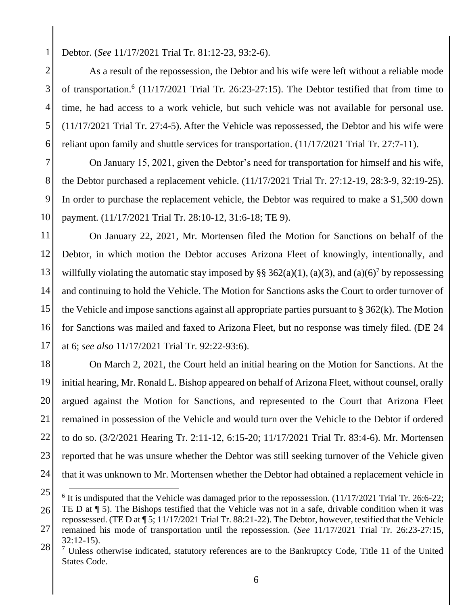5

Debtor. (*See* 11/17/2021 Trial Tr. 81:12-23, 93:2-6).

2 3 4 6 As a result of the repossession, the Debtor and his wife were left without a reliable mode of transportation.<sup>6</sup> (11/17/2021 Trial Tr. 26:23-27:15). The Debtor testified that from time to time, he had access to a work vehicle, but such vehicle was not available for personal use. (11/17/2021 Trial Tr. 27:4-5). After the Vehicle was repossessed, the Debtor and his wife were reliant upon family and shuttle services for transportation. (11/17/2021 Trial Tr. 27:7-11).

7 8 9 10 On January 15, 2021, given the Debtor's need for transportation for himself and his wife, the Debtor purchased a replacement vehicle. (11/17/2021 Trial Tr. 27:12-19, 28:3-9, 32:19-25). In order to purchase the replacement vehicle, the Debtor was required to make a \$1,500 down payment. (11/17/2021 Trial Tr. 28:10-12, 31:6-18; TE 9).

11 12 13 14 15 16 17 On January 22, 2021, Mr. Mortensen filed the Motion for Sanctions on behalf of the Debtor, in which motion the Debtor accuses Arizona Fleet of knowingly, intentionally, and willfully violating the automatic stay imposed by §§ 362(a)(1), (a)(3), and (a)(6)<sup>7</sup> by repossessing and continuing to hold the Vehicle. The Motion for Sanctions asks the Court to order turnover of the Vehicle and impose sanctions against all appropriate parties pursuant to  $\S 362(k)$ . The Motion for Sanctions was mailed and faxed to Arizona Fleet, but no response was timely filed. (DE 24 at 6; *see also* 11/17/2021 Trial Tr. 92:22-93:6).

18 19 20 21 22 23 24 On March 2, 2021, the Court held an initial hearing on the Motion for Sanctions. At the initial hearing, Mr. Ronald L. Bishop appeared on behalf of Arizona Fleet, without counsel, orally argued against the Motion for Sanctions, and represented to the Court that Arizona Fleet remained in possession of the Vehicle and would turn over the Vehicle to the Debtor if ordered to do so. (3/2/2021 Hearing Tr. 2:11-12, 6:15-20; 11/17/2021 Trial Tr. 83:4-6). Mr. Mortensen reported that he was unsure whether the Debtor was still seeking turnover of the Vehicle given that it was unknown to Mr. Mortensen whether the Debtor had obtained a replacement vehicle in

<sup>25</sup>  $6$  It is undisputed that the Vehicle was damaged prior to the repossession.  $(11/17/2021$  Trial Tr. 26:6-22;

<sup>26</sup> TE D at ¶ 5). The Bishops testified that the Vehicle was not in a safe, drivable condition when it was repossessed. (TE D at ¶ 5; 11/17/2021 Trial Tr. 88:21-22). The Debtor, however, testified that the Vehicle

<sup>27</sup> 28 remained his mode of transportation until the repossession. (*See* 11/17/2021 Trial Tr. 26:23-27:15, 32:12-15).

 $<sup>7</sup>$  Unless otherwise indicated, statutory references are to the Bankruptcy Code, Title 11 of the United</sup> States Code.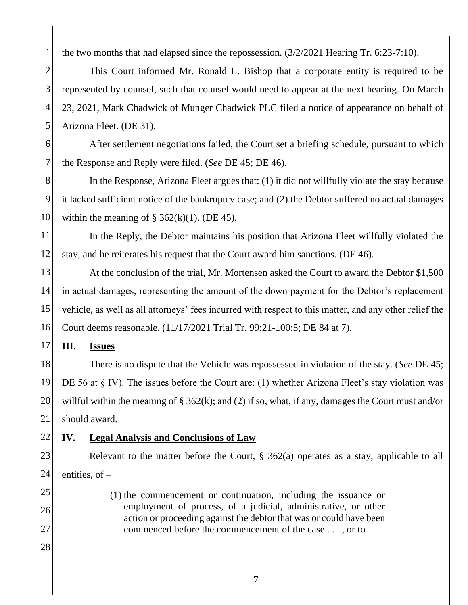the two months that had elapsed since the repossession. (3/2/2021 Hearing Tr. 6:23-7:10).

2 3 4 5 This Court informed Mr. Ronald L. Bishop that a corporate entity is required to be represented by counsel, such that counsel would need to appear at the next hearing. On March 23, 2021, Mark Chadwick of Munger Chadwick PLC filed a notice of appearance on behalf of Arizona Fleet. (DE 31).

After settlement negotiations failed, the Court set a briefing schedule, pursuant to which the Response and Reply were filed. (*See* DE 45; DE 46).

8 9 10 In the Response, Arizona Fleet argues that: (1) it did not willfully violate the stay because it lacked sufficient notice of the bankruptcy case; and (2) the Debtor suffered no actual damages within the meaning of  $\S$  362(k)(1). (DE 45).

11 12 In the Reply, the Debtor maintains his position that Arizona Fleet willfully violated the stay, and he reiterates his request that the Court award him sanctions. (DE 46).

13 14 15 16 At the conclusion of the trial, Mr. Mortensen asked the Court to award the Debtor \$1,500 in actual damages, representing the amount of the down payment for the Debtor's replacement vehicle, as well as all attorneys' fees incurred with respect to this matter, and any other relief the Court deems reasonable. (11/17/2021 Trial Tr. 99:21-100:5; DE 84 at 7).

17 **III. Issues**

18 19 20 21 There is no dispute that the Vehicle was repossessed in violation of the stay. (*See* DE 45; DE 56 at § IV). The issues before the Court are: (1) whether Arizona Fleet's stay violation was willful within the meaning of § 362(k); and (2) if so, what, if any, damages the Court must and/or should award.

#### 22 **IV. Legal Analysis and Conclusions of Law**

23 24 Relevant to the matter before the Court, § 362(a) operates as a stay, applicable to all entities, of  $-$ 

> (1) the commencement or continuation, including the issuance or employment of process, of a judicial, administrative, or other action or proceeding against the debtor that was or could have been

commenced before the commencement of the case . . . , or to

25

1

6

- 26
- 27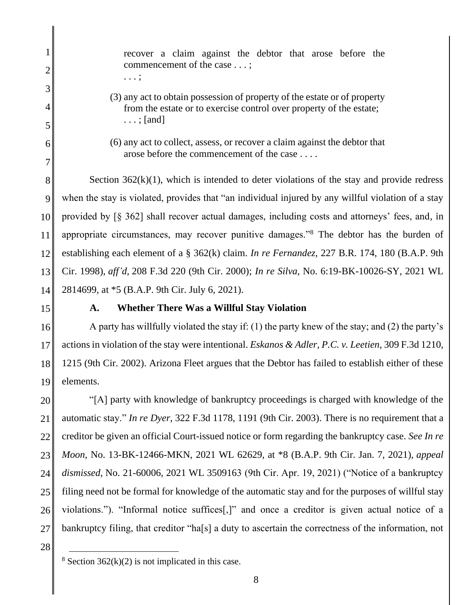|                | recover a claim against the debtor that arose before the                                                                                         |
|----------------|--------------------------------------------------------------------------------------------------------------------------------------------------|
| $\overline{2}$ | commencement of the case ;<br>. ;                                                                                                                |
| 3              |                                                                                                                                                  |
| 4              | (3) any act to obtain possession of property of the estate or of property<br>from the estate or to exercise control over property of the estate; |
| 5              | $\ldots$ ; [and]                                                                                                                                 |
| 6              | (6) any act to collect, assess, or recover a claim against the debtor that                                                                       |
| 7              | arose before the commencement of the case                                                                                                        |
| 8              | Section $362(k)(1)$ , which is intended to deter violations of the stay and provide redress                                                      |
| 9              | when the stay is violated, provides that "an individual injured by any willful violation of a stay                                               |
| 10             | provided by [§ 362] shall recover actual damages, including costs and attorneys' fees, and, in                                                   |
| 11             | appropriate circumstances, may recover punitive damages." <sup>8</sup> The debtor has the burden of                                              |
| 12             | establishing each element of a $\S$ 362(k) claim. In re Fernandez, 227 B.R. 174, 180 (B.A.P. 9th                                                 |
| 13             | Cir. 1998), aff'd, 208 F.3d 220 (9th Cir. 2000); In re Silva, No. 6:19-BK-10026-SY, 2021 WL                                                      |
| 14             | 2814699, at *5 (B.A.P. 9th Cir. July 6, 2021).                                                                                                   |

I

### **A. Whether There Was a Willful Stay Violation**

16 17 18 19 A party has willfully violated the stay if: (1) the party knew of the stay; and (2) the party's actions in violation of the stay were intentional. *Eskanos & Adler, P.C. v. Leetien*, 309 F.3d 1210, 1215 (9th Cir. 2002). Arizona Fleet argues that the Debtor has failed to establish either of these elements.

20 21 22 23 24 25 26 27 "[A] party with knowledge of bankruptcy proceedings is charged with knowledge of the automatic stay." *In re Dyer*, 322 F.3d 1178, 1191 (9th Cir. 2003). There is no requirement that a creditor be given an official Court-issued notice or form regarding the bankruptcy case. *See In re Moon*, No. 13-BK-12466-MKN, 2021 WL 62629, at \*8 (B.A.P. 9th Cir. Jan. 7, 2021), *appeal dismissed,* No. 21-60006, 2021 WL 3509163 (9th Cir. Apr. 19, 2021) ("Notice of a bankruptcy filing need not be formal for knowledge of the automatic stay and for the purposes of willful stay violations."). "Informal notice suffices[,]" and once a creditor is given actual notice of a bankruptcy filing, that creditor "ha[s] a duty to ascertain the correctness of the information, not

<sup>&</sup>lt;sup>8</sup> Section 362(k)(2) is not implicated in this case.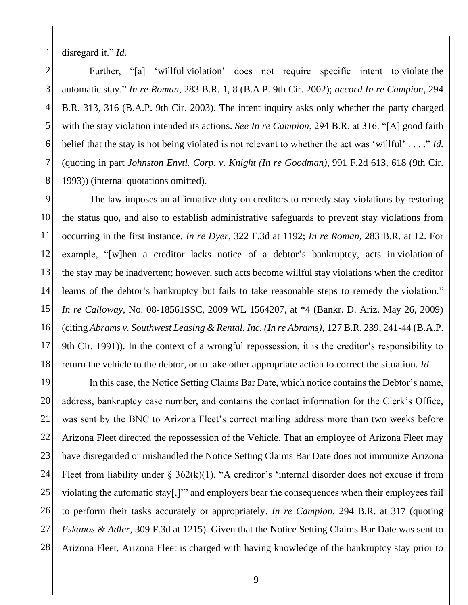disregard it." *Id.*

1

2 3 4 5 6 7 8 Further, "[a] 'willful violation' does not require specific intent to violate the automatic stay." *In re Roman*, 283 B.R. 1, 8 (B.A.P. 9th Cir. 2002); *accord In re Campion*, 294 B.R. 313, 316 (B.A.P. 9th Cir. 2003). The intent inquiry asks only whether the party charged with the stay violation intended its actions. *See In re Campion*, 294 B.R. at 316. "[A] good faith belief that the stay is not being violated is not relevant to whether the act was 'willful' . . . ." *Id.* (quoting in part *Johnston Envtl. Corp. v. Knight (In re Goodman),* 991 F.2d 613, 618 (9th Cir. 1993)) (internal quotations omitted).

9 10 11 12 13 14 15 16 17 18 The law imposes an affirmative duty on creditors to remedy stay violations by restoring the status quo, and also to establish administrative safeguards to prevent stay violations from occurring in the first instance. *In re Dyer*, 322 F.3d at 1192; *In re Roman*, 283 B.R. at 12. For example, "[w]hen a creditor lacks notice of a debtor's bankruptcy, acts in violation of the stay may be inadvertent; however, such acts become willful stay violations when the creditor learns of the debtor's bankruptcy but fails to take reasonable steps to remedy the violation." *In re Calloway*, No. 08-18561SSC, 2009 WL 1564207, at \*4 (Bankr. D. Ariz. May 26, 2009) (citing *Abrams v. Southwest Leasing & Rental, Inc. (In re Abrams),* 127 B.R. 239, 241-44 (B.A.P. 9th Cir. 1991)). In the context of a wrongful repossession, it is the creditor's responsibility to return the vehicle to the debtor, or to take other appropriate action to correct the situation. *Id*.

19 20 21 22 23 24 25 26 27 28 In this case, the Notice Setting Claims Bar Date, which notice contains the Debtor's name, address, bankruptcy case number, and contains the contact information for the Clerk's Office, was sent by the BNC to Arizona Fleet's correct mailing address more than two weeks before Arizona Fleet directed the repossession of the Vehicle. That an employee of Arizona Fleet may have disregarded or mishandled the Notice Setting Claims Bar Date does not immunize Arizona Fleet from liability under  $\S$  362(k)(1). "A creditor's 'internal disorder does not excuse it from violating the automatic stay[,]'" and employers bear the consequences when their employees fail to perform their tasks accurately or appropriately. *In re Campion*, 294 B.R. at 317 (quoting *Eskanos & Adler*, 309 F.3d at 1215). Given that the Notice Setting Claims Bar Date was sent to Arizona Fleet, Arizona Fleet is charged with having knowledge of the bankruptcy stay prior to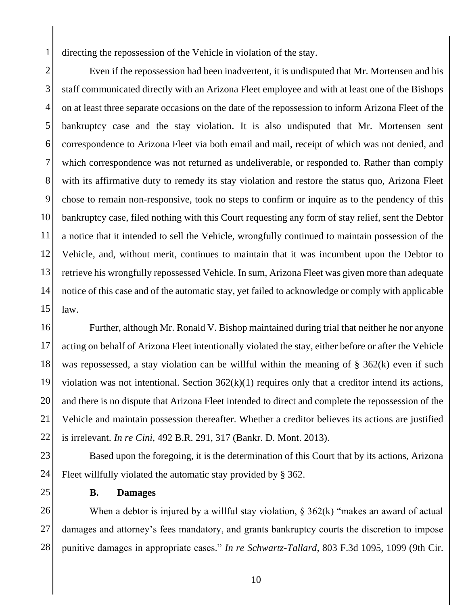directing the repossession of the Vehicle in violation of the stay.

2 3 4 5 6 7 8 9 10 11 12 13 14 15 Even if the repossession had been inadvertent, it is undisputed that Mr. Mortensen and his staff communicated directly with an Arizona Fleet employee and with at least one of the Bishops on at least three separate occasions on the date of the repossession to inform Arizona Fleet of the bankruptcy case and the stay violation. It is also undisputed that Mr. Mortensen sent correspondence to Arizona Fleet via both email and mail, receipt of which was not denied, and which correspondence was not returned as undeliverable, or responded to. Rather than comply with its affirmative duty to remedy its stay violation and restore the status quo, Arizona Fleet chose to remain non-responsive, took no steps to confirm or inquire as to the pendency of this bankruptcy case, filed nothing with this Court requesting any form of stay relief, sent the Debtor a notice that it intended to sell the Vehicle, wrongfully continued to maintain possession of the Vehicle, and, without merit, continues to maintain that it was incumbent upon the Debtor to retrieve his wrongfully repossessed Vehicle. In sum, Arizona Fleet was given more than adequate notice of this case and of the automatic stay, yet failed to acknowledge or comply with applicable law.

16 17 18 19 20 21 22 Further, although Mr. Ronald V. Bishop maintained during trial that neither he nor anyone acting on behalf of Arizona Fleet intentionally violated the stay, either before or after the Vehicle was repossessed, a stay violation can be willful within the meaning of § 362(k) even if such violation was not intentional. Section 362(k)(1) requires only that a creditor intend its actions, and there is no dispute that Arizona Fleet intended to direct and complete the repossession of the Vehicle and maintain possession thereafter. Whether a creditor believes its actions are justified is irrelevant. *In re Cini*, 492 B.R. 291, 317 (Bankr. D. Mont. 2013).

23 24 Based upon the foregoing, it is the determination of this Court that by its actions, Arizona Fleet willfully violated the automatic stay provided by § 362.

25

1

### **B. Damages**

26 27 28 When a debtor is injured by a willful stay violation,  $\S 362(k)$  "makes an award of actual damages and attorney's fees mandatory, and grants bankruptcy courts the discretion to impose punitive damages in appropriate cases." *In re Schwartz-Tallard*, 803 F.3d 1095, 1099 (9th Cir.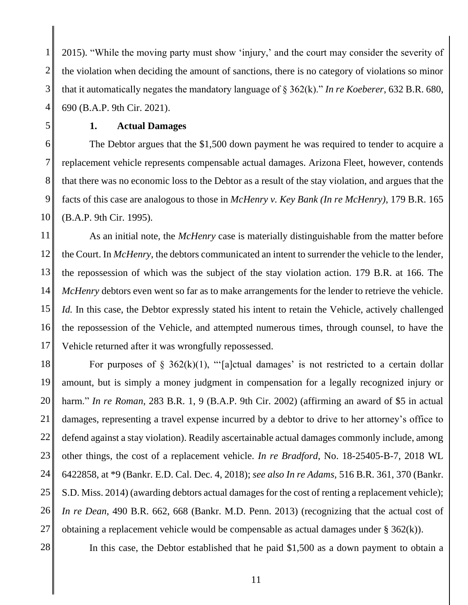1 2 3 4 2015). "While the moving party must show 'injury,' and the court may consider the severity of the violation when deciding the amount of sanctions, there is no category of violations so minor that it automatically negates the mandatory language of § 362(k)." *In re Koeberer*, 632 B.R. 680, 690 (B.A.P. 9th Cir. 2021).

5

### **1. Actual Damages**

6 7 8 9 10 The Debtor argues that the \$1,500 down payment he was required to tender to acquire a replacement vehicle represents compensable actual damages. Arizona Fleet, however, contends that there was no economic loss to the Debtor as a result of the stay violation, and argues that the facts of this case are analogous to those in *McHenry v. Key Bank (In re McHenry)*, 179 B.R. 165 (B.A.P. 9th Cir. 1995).

11 12 13 14 15 16 17 As an initial note, the *McHenry* case is materially distinguishable from the matter before the Court. In *McHenry*, the debtors communicated an intent to surrender the vehicle to the lender, the repossession of which was the subject of the stay violation action. 179 B.R. at 166. The *McHenry* debtors even went so far as to make arrangements for the lender to retrieve the vehicle. *Id.* In this case, the Debtor expressly stated his intent to retain the Vehicle, actively challenged the repossession of the Vehicle, and attempted numerous times, through counsel, to have the Vehicle returned after it was wrongfully repossessed.

18 19 20 21 22 23 24 25 26 27 For purposes of  $\S$  362(k)(1), " $[a]$ ctual damages' is not restricted to a certain dollar amount, but is simply a money judgment in compensation for a legally recognized injury or harm." *In re Roman*, 283 B.R. 1, 9 (B.A.P. 9th Cir. 2002) (affirming an award of \$5 in actual damages, representing a travel expense incurred by a debtor to drive to her attorney's office to defend against a stay violation). Readily ascertainable actual damages commonly include, among other things, the cost of a replacement vehicle. *In re Bradford*, No. 18-25405-B-7, 2018 WL 6422858, at \*9 (Bankr. E.D. Cal. Dec. 4, 2018); *see also In re Adams*, 516 B.R. 361, 370 (Bankr. S.D. Miss. 2014) (awarding debtors actual damages for the cost of renting a replacement vehicle); *In re Dean*, 490 B.R. 662, 668 (Bankr. M.D. Penn. 2013) (recognizing that the actual cost of obtaining a replacement vehicle would be compensable as actual damages under § 362(k)).

28

In this case, the Debtor established that he paid \$1,500 as a down payment to obtain a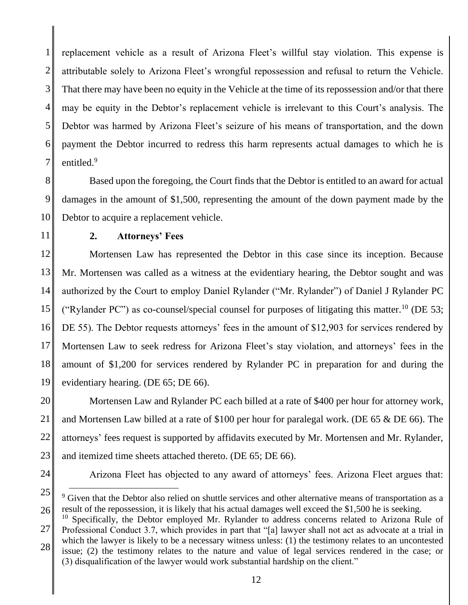1 2 3 4 5 6 7 replacement vehicle as a result of Arizona Fleet's willful stay violation. This expense is attributable solely to Arizona Fleet's wrongful repossession and refusal to return the Vehicle. That there may have been no equity in the Vehicle at the time of its repossession and/or that there may be equity in the Debtor's replacement vehicle is irrelevant to this Court's analysis. The Debtor was harmed by Arizona Fleet's seizure of his means of transportation, and the down payment the Debtor incurred to redress this harm represents actual damages to which he is entitled.<sup>9</sup>

8 9 10 Based upon the foregoing, the Court finds that the Debtor is entitled to an award for actual damages in the amount of \$1,500, representing the amount of the down payment made by the Debtor to acquire a replacement vehicle.

11

## **2. Attorneys' Fees**

12 13 14 15 16 17 18 19 Mortensen Law has represented the Debtor in this case since its inception. Because Mr. Mortensen was called as a witness at the evidentiary hearing, the Debtor sought and was authorized by the Court to employ Daniel Rylander ("Mr. Rylander") of Daniel J Rylander PC ("Rylander PC") as co-counsel/special counsel for purposes of litigating this matter.<sup>10</sup> (DE 53; DE 55). The Debtor requests attorneys' fees in the amount of \$12,903 for services rendered by Mortensen Law to seek redress for Arizona Fleet's stay violation, and attorneys' fees in the amount of \$1,200 for services rendered by Rylander PC in preparation for and during the evidentiary hearing. (DE 65; DE 66).

20 21 22 23 Mortensen Law and Rylander PC each billed at a rate of \$400 per hour for attorney work, and Mortensen Law billed at a rate of \$100 per hour for paralegal work. (DE 65 & DE 66). The attorneys' fees request is supported by affidavits executed by Mr. Mortensen and Mr. Rylander, and itemized time sheets attached thereto. (DE 65; DE 66).

24

Arizona Fleet has objected to any award of attorneys' fees. Arizona Fleet argues that:

<sup>25</sup> 26 <sup>9</sup> Given that the Debtor also relied on shuttle services and other alternative means of transportation as a result of the repossession, it is likely that his actual damages well exceed the \$1,500 he is seeking.

<sup>27</sup> 28  $10$  Specifically, the Debtor employed Mr. Rylander to address concerns related to Arizona Rule of Professional Conduct 3.7, which provides in part that "[a] lawyer shall not act as advocate at a trial in which the lawyer is likely to be a necessary witness unless: (1) the testimony relates to an uncontested issue; (2) the testimony relates to the nature and value of legal services rendered in the case; or (3) disqualification of the lawyer would work substantial hardship on the client."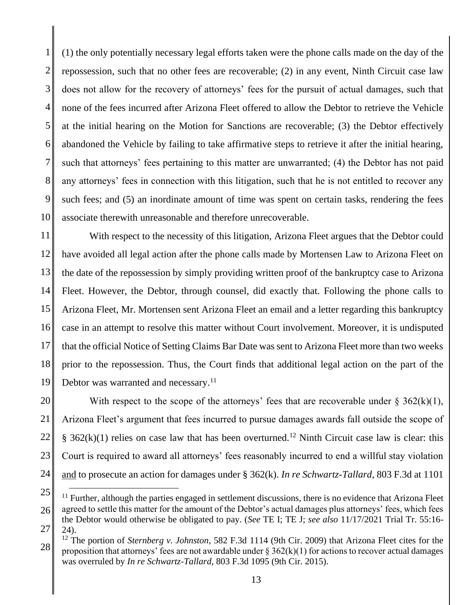1 2 3 4 5 6 7 8 9 10 (1) the only potentially necessary legal efforts taken were the phone calls made on the day of the repossession, such that no other fees are recoverable; (2) in any event, Ninth Circuit case law does not allow for the recovery of attorneys' fees for the pursuit of actual damages, such that none of the fees incurred after Arizona Fleet offered to allow the Debtor to retrieve the Vehicle at the initial hearing on the Motion for Sanctions are recoverable; (3) the Debtor effectively abandoned the Vehicle by failing to take affirmative steps to retrieve it after the initial hearing, such that attorneys' fees pertaining to this matter are unwarranted; (4) the Debtor has not paid any attorneys' fees in connection with this litigation, such that he is not entitled to recover any such fees; and (5) an inordinate amount of time was spent on certain tasks, rendering the fees associate therewith unreasonable and therefore unrecoverable.

11 12 13 14 15 16 17 18 19 With respect to the necessity of this litigation, Arizona Fleet argues that the Debtor could have avoided all legal action after the phone calls made by Mortensen Law to Arizona Fleet on the date of the repossession by simply providing written proof of the bankruptcy case to Arizona Fleet. However, the Debtor, through counsel, did exactly that. Following the phone calls to Arizona Fleet, Mr. Mortensen sent Arizona Fleet an email and a letter regarding this bankruptcy case in an attempt to resolve this matter without Court involvement. Moreover, it is undisputed that the official Notice of Setting Claims Bar Date was sent to Arizona Fleet more than two weeks prior to the repossession. Thus, the Court finds that additional legal action on the part of the Debtor was warranted and necessary.<sup>11</sup>

20 21 22 23 24 With respect to the scope of the attorneys' fees that are recoverable under  $\S 362(k)(1)$ , Arizona Fleet's argument that fees incurred to pursue damages awards fall outside the scope of §  $362(k)(1)$  relies on case law that has been overturned.<sup>12</sup> Ninth Circuit case law is clear: this Court is required to award all attorneys' fees reasonably incurred to end a willful stay violation and to prosecute an action for damages under § 362(k). *In re Schwartz-Tallard*, 803 F.3d at 1101

<sup>25</sup> 26 27  $11$  Further, although the parties engaged in settlement discussions, there is no evidence that Arizona Fleet agreed to settle this matter for the amount of the Debtor's actual damages plus attorneys' fees, which fees the Debtor would otherwise be obligated to pay. (*See* TE I; TE J; *see also* 11/17/2021 Trial Tr. 55:16- 24).

<sup>28</sup> <sup>12</sup> The portion of *Sternberg v. Johnston*, 582 F.3d 1114 (9th Cir. 2009) that Arizona Fleet cites for the proposition that attorneys' fees are not awardable under  $\S 362(k)(1)$  for actions to recover actual damages was overruled by *In re Schwartz-Tallard*, 803 F.3d 1095 (9th Cir. 2015).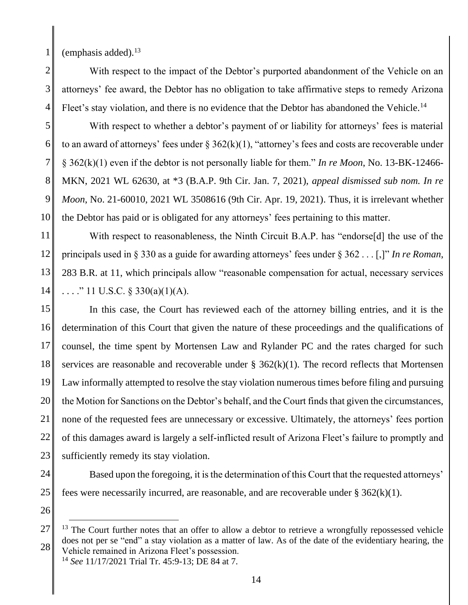(emphasis added). $13$ 

4 With respect to the impact of the Debtor's purported abandonment of the Vehicle on an attorneys' fee award, the Debtor has no obligation to take affirmative steps to remedy Arizona Fleet's stay violation, and there is no evidence that the Debtor has abandoned the Vehicle.<sup>14</sup>

5 6 7 8 9 10 With respect to whether a debtor's payment of or liability for attorneys' fees is material to an award of attorneys' fees under  $\S 362(k)(1)$ , "attorney's fees and costs are recoverable under § 362(k)(1) even if the debtor is not personally liable for them." *In re Moon*, No. 13-BK-12466- MKN, 2021 WL 62630, at \*3 (B.A.P. 9th Cir. Jan. 7, 2021), *appeal dismissed sub nom. In re Moon*, No. 21-60010, 2021 WL 3508616 (9th Cir. Apr. 19, 2021). Thus, it is irrelevant whether the Debtor has paid or is obligated for any attorneys' fees pertaining to this matter.

11 12 13 14 With respect to reasonableness, the Ninth Circuit B.A.P. has "endorse<sup>[d]</sup> the use of the principals used in § 330 as a guide for awarding attorneys' fees under § 362 . . . [,]" *In re Roman*, 283 B.R. at 11, which principals allow "reasonable compensation for actual, necessary services ...." 11 U.S.C.  $\S$  330(a)(1)(A).

15 16 17 18 19 20 21 22 23 In this case, the Court has reviewed each of the attorney billing entries, and it is the determination of this Court that given the nature of these proceedings and the qualifications of counsel, the time spent by Mortensen Law and Rylander PC and the rates charged for such services are reasonable and recoverable under  $\S$  362(k)(1). The record reflects that Mortensen Law informally attempted to resolve the stay violation numerous times before filing and pursuing the Motion for Sanctions on the Debtor's behalf, and the Court finds that given the circumstances, none of the requested fees are unnecessary or excessive. Ultimately, the attorneys' fees portion of this damages award is largely a self-inflicted result of Arizona Fleet's failure to promptly and sufficiently remedy its stay violation.

24

25 Based upon the foregoing, it is the determination of this Court that the requested attorneys' fees were necessarily incurred, are reasonable, and are recoverable under  $\S 362(k)(1)$ .

26

<sup>14</sup> *See* 11/17/2021 Trial Tr. 45:9-13; DE 84 at 7.

<sup>27</sup> 28  $13$  The Court further notes that an offer to allow a debtor to retrieve a wrongfully repossessed vehicle does not per se "end" a stay violation as a matter of law. As of the date of the evidentiary hearing, the Vehicle remained in Arizona Fleet's possession.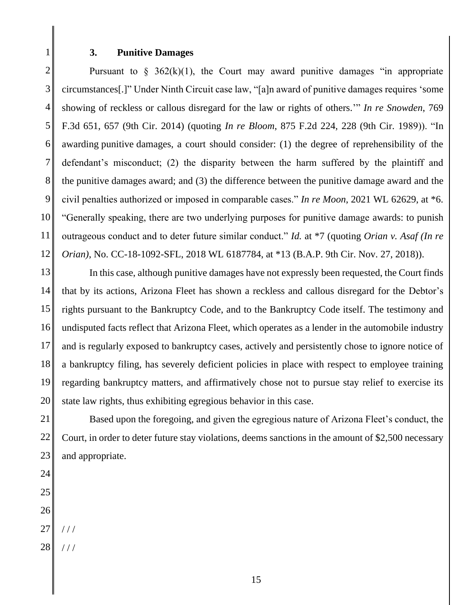#### **3. Punitive Damages**

2 3 4 5 6 7 8 9 10 11 12 Pursuant to  $\S$  362(k)(1), the Court may award punitive damages "in appropriate circumstances[.]" Under Ninth Circuit case law, "[a]n award of punitive damages requires 'some showing of reckless or callous disregard for the law or rights of others.'" *In re Snowden*, 769 F.3d 651, 657 (9th Cir. 2014) (quoting *In re Bloom*, 875 F.2d 224, 228 (9th Cir. 1989)). "In awarding punitive damages, a court should consider: (1) the degree of reprehensibility of the defendant's misconduct; (2) the disparity between the harm suffered by the plaintiff and the punitive damages award; and (3) the difference between the punitive damage award and the civil penalties authorized or imposed in comparable cases." *In re Moon*, 2021 WL 62629, at \*6. "Generally speaking, there are two underlying purposes for punitive damage awards: to punish outrageous conduct and to deter future similar conduct." *Id.* at \*7 (quoting *Orian v. Asaf (In re Orian)*, No. CC-18-1092-SFL, 2018 WL 6187784, at \*13 (B.A.P. 9th Cir. Nov. 27, 2018)).

13 14 15 16 17 18 19 20 In this case, although punitive damages have not expressly been requested, the Court finds that by its actions, Arizona Fleet has shown a reckless and callous disregard for the Debtor's rights pursuant to the Bankruptcy Code, and to the Bankruptcy Code itself. The testimony and undisputed facts reflect that Arizona Fleet, which operates as a lender in the automobile industry and is regularly exposed to bankruptcy cases, actively and persistently chose to ignore notice of a bankruptcy filing, has severely deficient policies in place with respect to employee training regarding bankruptcy matters, and affirmatively chose not to pursue stay relief to exercise its state law rights, thus exhibiting egregious behavior in this case.

21 22 23 Based upon the foregoing, and given the egregious nature of Arizona Fleet's conduct, the Court, in order to deter future stay violations, deems sanctions in the amount of \$2,500 necessary and appropriate.

- 24
- 25 26
- 27 / / /
- 28 / / /